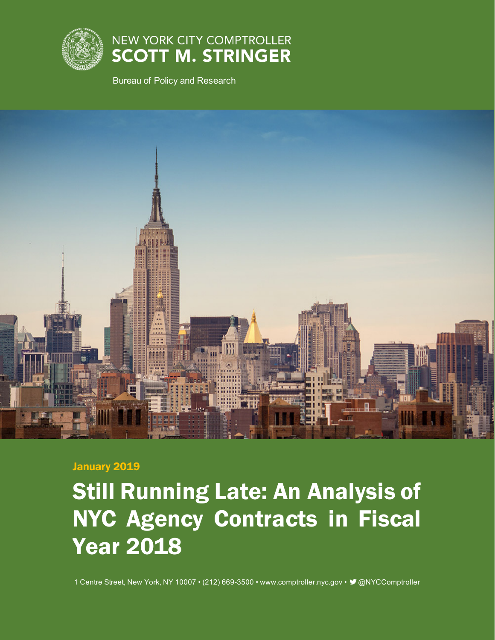

### NEW YORK CITY COMPTROLLER **SCOTT M. STRINGER**

Bureau of Policy and Research



### January 2019

# Still Running Late: An Analysis of NYC Agency Contracts in Fiscal Year 2018

1 Centre Street, New York, NY 10007 • (212) 669-3500 • www.comptroller.nyc.gov • @NYCComptroller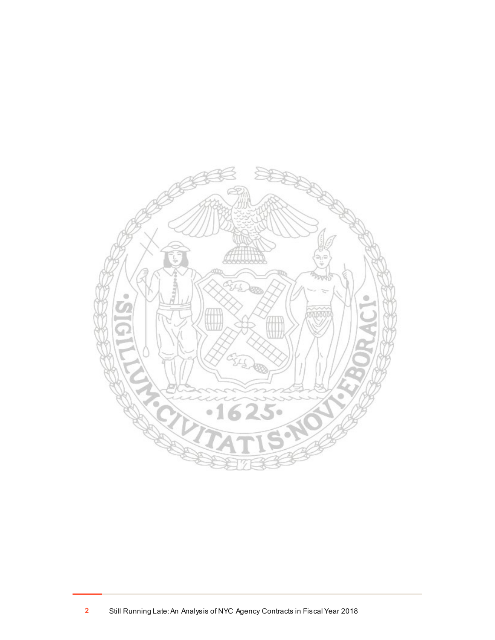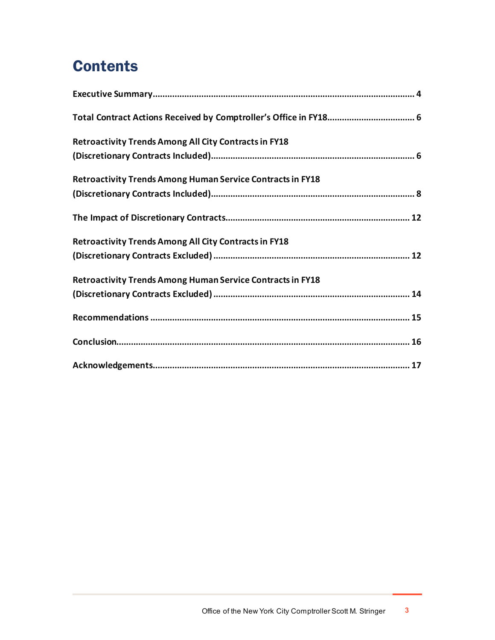# **Contents**

| Total Contract Actions Received by Comptroller's Office in FY18 6 |  |
|-------------------------------------------------------------------|--|
| <b>Retroactivity Trends Among All City Contracts in FY18</b>      |  |
|                                                                   |  |
| <b>Retroactivity Trends Among Human Service Contracts in FY18</b> |  |
|                                                                   |  |
|                                                                   |  |
| <b>Retroactivity Trends Among All City Contracts in FY18</b>      |  |
|                                                                   |  |
| <b>Retroactivity Trends Among Human Service Contracts in FY18</b> |  |
|                                                                   |  |
|                                                                   |  |
|                                                                   |  |
|                                                                   |  |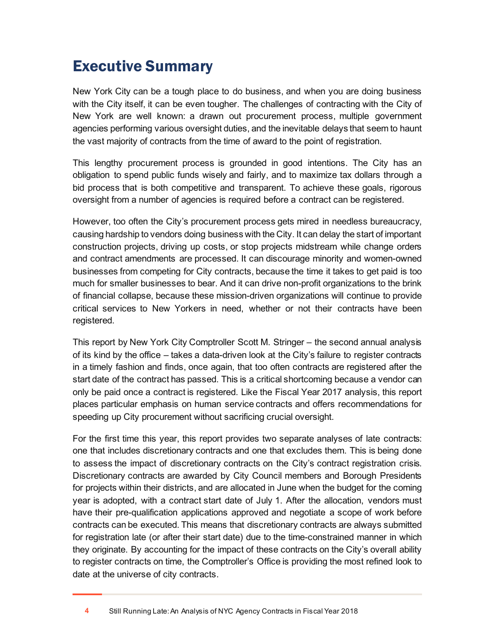# <span id="page-3-0"></span>Executive Summary

New York City can be a tough place to do business, and when you are doing business with the City itself, it can be even tougher. The challenges of contracting with the City of New York are well known: a drawn out procurement process, multiple government agencies performing various oversight duties, and the inevitable delays that seem to haunt the vast majority of contracts from the time of award to the point of registration.

This lengthy procurement process is grounded in good intentions. The City has an obligation to spend public funds wisely and fairly, and to maximize tax dollars through a bid process that is both competitive and transparent. To achieve these goals, rigorous oversight from a number of agencies is required before a contract can be registered.

However, too often the City's procurement process gets mired in needless bureaucracy, causing hardship to vendors doing business with the City. It can delay the start of important construction projects, driving up costs, or stop projects midstream while change orders and contract amendments are processed. It can discourage minority and women-owned businesses from competing for City contracts, because the time it takes to get paid is too much for smaller businesses to bear. And it can drive non-profit organizations to the brink of financial collapse, because these mission-driven organizations will continue to provide critical services to New Yorkers in need, whether or not their contracts have been registered.

This report by New York City Comptroller Scott M. Stringer – the second annual analysis of its kind by the office – takes a data-driven look at the City's failure to register contracts in a timely fashion and finds, once again, that too often contracts are registered after the start date of the contract has passed. This is a critical shortcoming because a vendor can only be paid once a contract is registered. Like the Fiscal Year 2017 analysis, this report places particular emphasis on human service contracts and offers recommendations for speeding up City procurement without sacrificing crucial oversight.

For the first time this year, this report provides two separate analyses of late contracts: one that includes discretionary contracts and one that excludes them. This is being done to assess the impact of discretionary contracts on the City's contract registration crisis. Discretionary contracts are awarded by City Council members and Borough Presidents for projects within their districts, and are allocated in June when the budget for the coming year is adopted, with a contract start date of July 1. After the allocation, vendors must have their pre-qualification applications approved and negotiate a scope of work before contracts can be executed. This means that discretionary contracts are always submitted for registration late (or after their start date) due to the time-constrained manner in which they originate. By accounting for the impact of these contracts on the City's overall ability to register contracts on time, the Comptroller's Office is providing the most refined look to date at the universe of city contracts.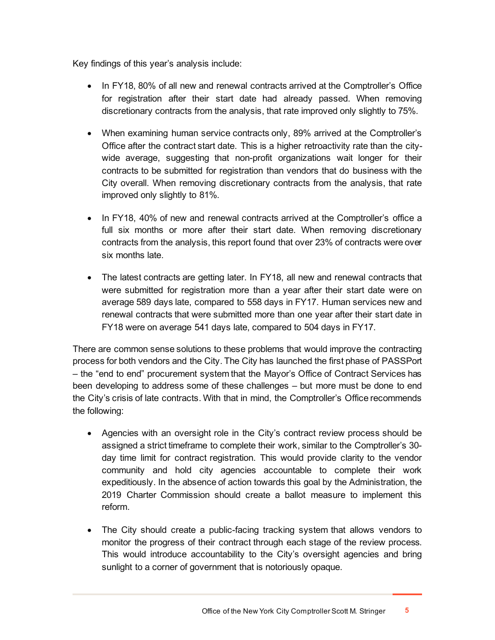Key findings of this year's analysis include:

- In FY18, 80% of all new and renewal contracts arrived at the Comptroller's Office for registration after their start date had already passed. When removing discretionary contracts from the analysis, that rate improved only slightly to 75%.
- When examining human service contracts only, 89% arrived at the Comptroller's Office after the contract start date. This is a higher retroactivity rate than the citywide average, suggesting that non-profit organizations wait longer for their contracts to be submitted for registration than vendors that do business with the City overall. When removing discretionary contracts from the analysis, that rate improved only slightly to 81%.
- In FY18, 40% of new and renewal contracts arrived at the Comptroller's office a full six months or more after their start date. When removing discretionary contracts from the analysis, this report found that over 23% of contracts were over six months late.
- The latest contracts are getting later. In FY18, all new and renewal contracts that were submitted for registration more than a year after their start date were on average 589 days late, compared to 558 days in FY17. Human services new and renewal contracts that were submitted more than one year after their start date in FY18 were on average 541 days late, compared to 504 days in FY17.

There are common sense solutions to these problems that would improve the contracting process for both vendors and the City. The City has launched the first phase of PASSPort – the "end to end" procurement system that the Mayor's Office of Contract Services has been developing to address some of these challenges – but more must be done to end the City's crisis of late contracts. With that in mind, the Comptroller's Office recommends the following:

- Agencies with an oversight role in the City's contract review process should be assigned a strict timeframe to complete their work, similar to the Comptroller's 30 day time limit for contract registration. This would provide clarity to the vendor community and hold city agencies accountable to complete their work expeditiously. In the absence of action towards this goal by the Administration, the 2019 Charter Commission should create a ballot measure to implement this reform.
- The City should create a public-facing tracking system that allows vendors to monitor the progress of their contract through each stage of the review process. This would introduce accountability to the City's oversight agencies and bring sunlight to a corner of government that is notoriously opaque.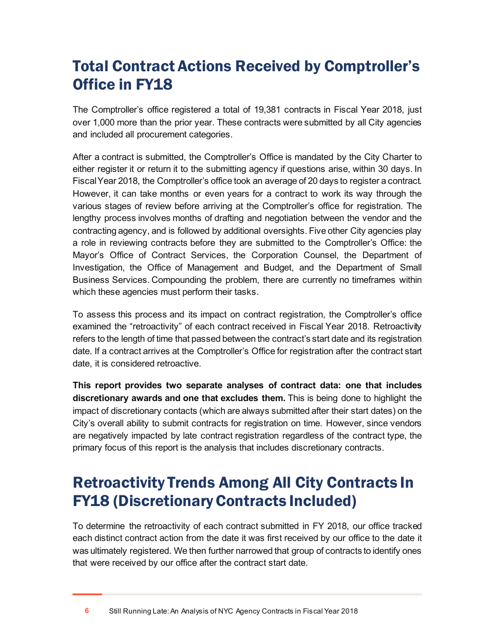# <span id="page-5-0"></span>Total Contract Actions Received by Comptroller's Office in FY18

The Comptroller's office registered a total of 19,381 contracts in Fiscal Year 2018, just over 1,000 more than the prior year. These contracts were submitted by all City agencies and included all procurement categories.

After a contract is submitted, the Comptroller's Office is mandated by the City Charter to either register it or return it to the submitting agency if questions arise, within 30 days. In Fiscal Year 2018, the Comptroller's office took an average of 20 days to register a contract. However, it can take months or even years for a contract to work its way through the various stages of review before arriving at the Comptroller's office for registration. The lengthy process involves months of drafting and negotiation between the vendor and the contracting agency, and is followed by additional oversights. Five other City agencies play a role in reviewing contracts before they are submitted to the Comptroller's Office: the Mayor's Office of Contract Services, the Corporation Counsel, the Department of Investigation, the Office of Management and Budget, and the Department of Small Business Services. Compounding the problem, there are currently no timeframes within which these agencies must perform their tasks.

To assess this process and its impact on contract registration, the Comptroller's office examined the "retroactivity" of each contract received in Fiscal Year 2018. Retroactivity refers to the length of time that passed between the contract's start date and its registration date. If a contract arrives at the Comptroller's Office for registration after the contract start date, it is considered retroactive.

**This report provides two separate analyses of contract data: one that includes discretionary awards and one that excludes them.** This is being done to highlight the impact of discretionary contacts (which are always submitted after their start dates) on the City's overall ability to submit contracts for registration on time. However, since vendors are negatively impacted by late contract registration regardless of the contract type, the primary focus of this report is the analysis that includes discretionary contracts.

# <span id="page-5-1"></span>Retroactivity Trends Among All City Contracts In FY18 (Discretionary Contracts Included)

To determine the retroactivity of each contract submitted in FY 2018, our office tracked each distinct contract action from the date it was first received by our office to the date it was ultimately registered. We then further narrowed that group of contracts to identify ones that were received by our office after the contract start date.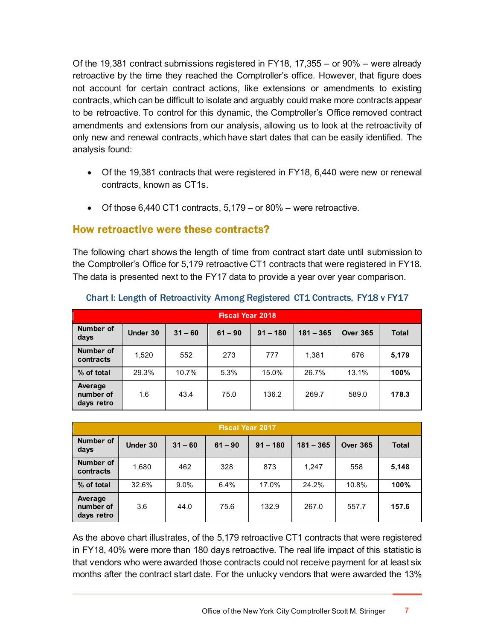Of the 19,381 contract submissions registered in FY18, 17,355 – or 90% – were already retroactive by the time they reached the Comptroller's office. However, that figure does not account for certain contract actions, like extensions or amendments to existing contracts, which can be difficult to isolate and arguably could make more contracts appear to be retroactive. To control for this dynamic, the Comptroller's Office removed contract amendments and extensions from our analysis, allowing us to look at the retroactivity of only new and renewal contracts, which have start dates that can be easily identified. The analysis found:

- Of the 19,381 contracts that were registered in FY18, 6,440 were new or renewal contracts, known as CT1s.
- Of those  $6,440$  CT1 contracts,  $5,179$  or  $80\%$  were retroactive.

### How retroactive were these contracts?

The following chart shows the length of time from contract start date until submission to the Comptroller's Office for 5,179 retroactive CT1 contracts that were registered in FY18. The data is presented next to the FY17 data to provide a year over year comparison.

| <b>Fiscal Year 2018</b>            |          |           |           |            |             |                 |              |  |  |  |
|------------------------------------|----------|-----------|-----------|------------|-------------|-----------------|--------------|--|--|--|
| Number of<br>days                  | Under 30 | $31 - 60$ | $61 - 90$ | $91 - 180$ | $181 - 365$ | <b>Over 365</b> | <b>Total</b> |  |  |  |
| Number of<br>contracts             | 1,520    | 552       | 273       | 777        | 1,381       | 676             | 5,179        |  |  |  |
| % of total                         | 29.3%    | 10.7%     | 5.3%      | 15.0%      | 26.7%       | 13.1%           | 100%         |  |  |  |
| Average<br>number of<br>days retro | 1.6      | 43.4      | 75.0      | 136.2      | 269.7       | 589.0           | 178.3        |  |  |  |

#### Chart I: Length of Retroactivity Among Registered CT1 Contracts, FY18 v FY17

|                                    | <b>Fiscal Year 2017</b> |                                                                        |      |       |       |       |       |  |  |  |
|------------------------------------|-------------------------|------------------------------------------------------------------------|------|-------|-------|-------|-------|--|--|--|
| Number of<br>days                  | Under 30                | $61 - 90$<br>$181 - 365$<br>$91 - 180$<br>$31 - 60$<br><b>Over 365</b> |      |       |       |       |       |  |  |  |
| Number of<br>contracts             | 1,680                   | 462                                                                    | 328  | 873   | 1,247 | 558   | 5,148 |  |  |  |
| % of total                         | 32.6%                   | 9.0%                                                                   | 6.4% | 17.0% | 24.2% | 10.8% | 100%  |  |  |  |
| Average<br>number of<br>days retro | 3.6                     | 44.0                                                                   | 75.6 | 132.9 | 267.0 | 557.7 | 157.6 |  |  |  |

As the above chart illustrates, of the 5,179 retroactive CT1 contracts that were registered in FY18, 40% were more than 180 days retroactive. The real life impact of this statistic is that vendors who were awarded those contracts could not receive payment for at least six months after the contract start date. For the unlucky vendors that were awarded the 13%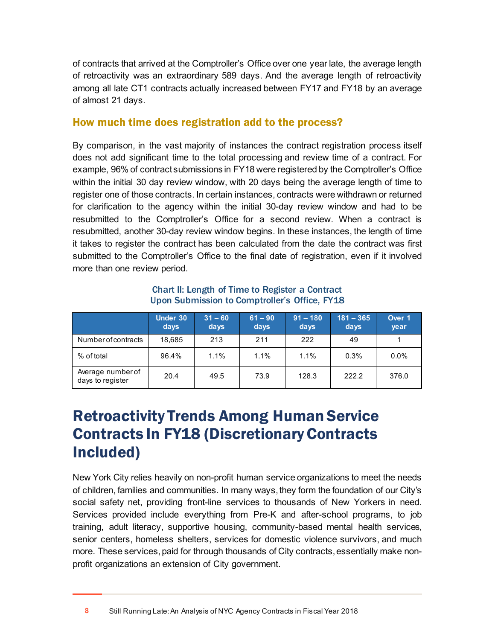of contracts that arrived at the Comptroller's Office over one year late, the average length of retroactivity was an extraordinary 589 days. And the average length of retroactivity among all late CT1 contracts actually increased between FY17 and FY18 by an average of almost 21 days.

### How much time does registration add to the process?

By comparison, in the vast majority of instances the contract registration process itself does not add significant time to the total processing and review time of a contract. For example, 96% of contract submissions in FY18 were registered by the Comptroller's Office within the initial 30 day review window, with 20 days being the average length of time to register one of those contracts. In certain instances, contracts were withdrawn or returned for clarification to the agency within the initial 30-day review window and had to be resubmitted to the Comptroller's Office for a second review. When a contract is resubmitted, another 30-day review window begins. In these instances, the length of time it takes to register the contract has been calculated from the date the contract was first submitted to the Comptroller's Office to the final date of registration, even if it involved more than one review period.

#### Chart II: Length of Time to Register a Contract Upon Submission to Comptroller's Office, FY18

|                                       | Under 30<br>days | $31 - 60$<br>days | $61 - 90$<br>days | $91 - 180$<br>days | $181 - 365$<br>days | Over 1<br>year |
|---------------------------------------|------------------|-------------------|-------------------|--------------------|---------------------|----------------|
| Number of contracts                   | 18.685           | 213               | 211               | 222                | 49                  |                |
| % of total                            | 96.4%            | 1.1%              | 1.1%              | 1.1%               | 0.3%                | $0.0\%$        |
| Average number of<br>days to register | 20.4             | 49.5              | 73.9              | 128.3              | 222.2               | 376.0          |

### <span id="page-7-0"></span>Retroactivity Trends Among Human Service Contracts In FY18 (Discretionary Contracts Included)

New York City relies heavily on non-profit human service organizations to meet the needs of children, families and communities. In many ways, they form the foundation of our City's social safety net, providing front-line services to thousands of New Yorkers in need. Services provided include everything from Pre-K and after-school programs, to job training, adult literacy, supportive housing, community-based mental health services, senior centers, homeless shelters, services for domestic violence survivors, and much more. These services, paid for through thousands of City contracts, essentially make nonprofit organizations an extension of City government.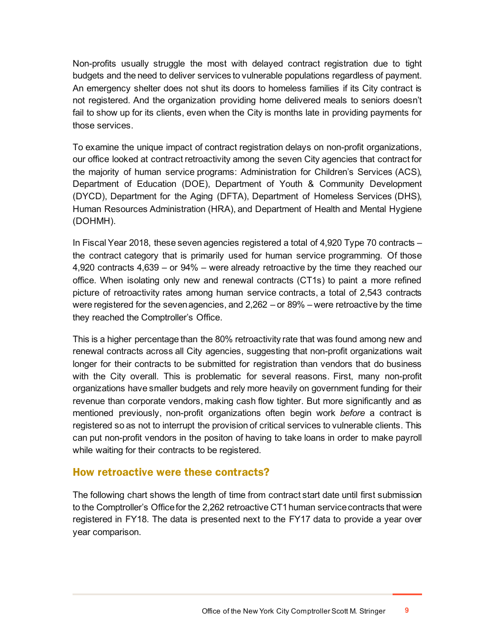Non-profits usually struggle the most with delayed contract registration due to tight budgets and the need to deliver services to vulnerable populations regardless of payment. An emergency shelter does not shut its doors to homeless families if its City contract is not registered. And the organization providing home delivered meals to seniors doesn't fail to show up for its clients, even when the City is months late in providing payments for those services.

To examine the unique impact of contract registration delays on non-profit organizations, our office looked at contract retroactivity among the seven City agencies that contract for the majority of human service programs: Administration for Children's Services (ACS), Department of Education (DOE), Department of Youth & Community Development (DYCD), Department for the Aging (DFTA), Department of Homeless Services (DHS), Human Resources Administration (HRA), and Department of Health and Mental Hygiene (DOHMH).

In Fiscal Year 2018, these seven agencies registered a total of 4,920 Type 70 contracts – the contract category that is primarily used for human service programming. Of those 4,920 contracts 4,639 – or 94% – were already retroactive by the time they reached our office. When isolating only new and renewal contracts (CT1s) to paint a more refined picture of retroactivity rates among human service contracts, a total of 2,543 contracts were registered for the seven agencies, and 2,262 – or 89% – were retroactive by the time they reached the Comptroller's Office.

This is a higher percentage than the 80% retroactivity rate that was found among new and renewal contracts across all City agencies, suggesting that non-profit organizations wait longer for their contracts to be submitted for registration than vendors that do business with the City overall. This is problematic for several reasons. First, many non-profit organizations have smaller budgets and rely more heavily on government funding for their revenue than corporate vendors, making cash flow tighter. But more significantly and as mentioned previously, non-profit organizations often begin work *before* a contract is registered so as not to interrupt the provision of critical services to vulnerable clients. This can put non-profit vendors in the positon of having to take loans in order to make payroll while waiting for their contracts to be registered.

### How retroactive were these contracts?

The following chart shows the length of time from contract start date until first submission to the Comptroller's Office for the 2,262 retroactive CT1human service contracts that were registered in FY18. The data is presented next to the FY17 data to provide a year over year comparison.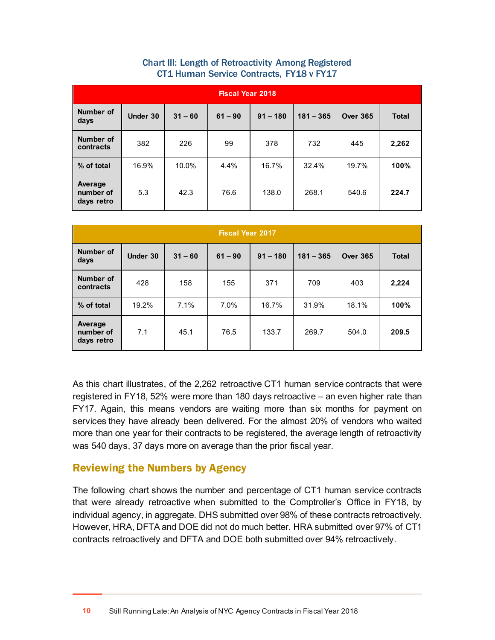| <b>Fiscal Year 2018</b>            |          |           |           |            |             |                 |              |  |  |  |
|------------------------------------|----------|-----------|-----------|------------|-------------|-----------------|--------------|--|--|--|
| Number of<br>days                  | Under 30 | $31 - 60$ | $61 - 90$ | $91 - 180$ | $181 - 365$ | <b>Over 365</b> | <b>Total</b> |  |  |  |
| Number of<br>contracts             | 382      | 226       | 99        | 378        | 732         | 445             | 2,262        |  |  |  |
| % of total                         | 16.9%    | 10.0%     | 4.4%      | 16.7%      | 32.4%       | 19.7%           | 100%         |  |  |  |
| Average<br>number of<br>days retro | 5.3      | 42.3      | 76.6      | 138.0      | 268.1       | 540.6           | 224.7        |  |  |  |

#### Chart III: Length of Retroactivity Among Registered CT1 Human Service Contracts, FY18 v FY17

| <b>Fiscal Year 2017</b>            |          |           |           |            |             |                 |              |  |  |  |
|------------------------------------|----------|-----------|-----------|------------|-------------|-----------------|--------------|--|--|--|
| Number of<br>days                  | Under 30 | $31 - 60$ | $61 - 90$ | $91 - 180$ | $181 - 365$ | <b>Over 365</b> | <b>Total</b> |  |  |  |
| Number of<br>contracts             | 428      | 158       | 155       | 371        | 709         | 403             | 2,224        |  |  |  |
| % of total                         | 19.2%    | 7.1%      | 7.0%      | 16.7%      | 31.9%       | 18.1%           | 100%         |  |  |  |
| Average<br>number of<br>days retro | 7.1      | 45.1      | 76.5      | 133.7      | 269.7       | 504.0           | 209.5        |  |  |  |

As this chart illustrates, of the 2,262 retroactive CT1 human service contracts that were registered in FY18, 52% were more than 180 days retroactive – an even higher rate than FY17. Again, this means vendors are waiting more than six months for payment on services they have already been delivered. For the almost 20% of vendors who waited more than one year for their contracts to be registered, the average length of retroactivity was 540 days, 37 days more on average than the prior fiscal year.

### Reviewing the Numbers by Agency

The following chart shows the number and percentage of CT1 human service contracts that were already retroactive when submitted to the Comptroller's Office in FY18, by individual agency, in aggregate. DHS submitted over 98% of these contracts retroactively. However, HRA, DFTA and DOE did not do much better. HRA submitted over 97% of CT1 contracts retroactively and DFTA and DOE both submitted over 94% retroactively.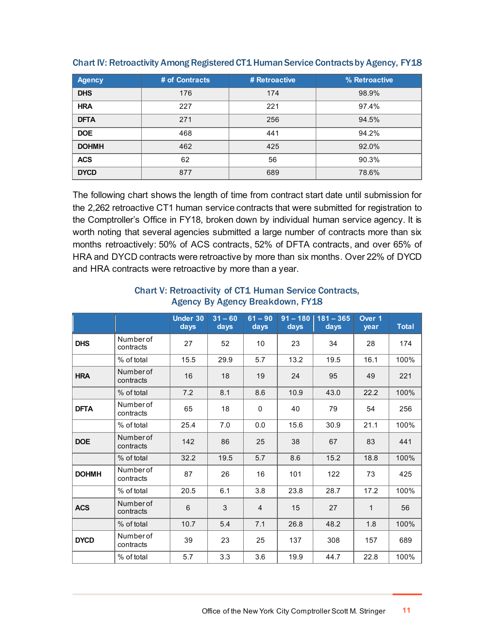| <b>Agency</b> | # of Contracts | # Retroactive | % Retroactive |
|---------------|----------------|---------------|---------------|
| <b>DHS</b>    | 176            | 174           | 98.9%         |
| <b>HRA</b>    | 227            | 221           | 97.4%         |
| <b>DFTA</b>   | 271            | 256           | 94.5%         |
| <b>DOE</b>    | 468            | 441           | 94.2%         |
| <b>DOHMH</b>  | 462            | 425           | 92.0%         |
| <b>ACS</b>    | 62             | 56            | 90.3%         |
| <b>DYCD</b>   | 877            | 689           | 78.6%         |

#### Chart IV: Retroactivity Among Registered CT1 Human Service Contracts by Agency, FY18

The following chart shows the length of time from contract start date until submission for the 2,262 retroactive CT1 human service contracts that were submitted for registration to the Comptroller's Office in FY18, broken down by individual human service agency. It is worth noting that several agencies submitted a large number of contracts more than six months retroactively: 50% of ACS contracts, 52% of DFTA contracts, and over 65% of HRA and DYCD contracts were retroactive by more than six months. Over 22% of DYCD and HRA contracts were retroactive by more than a year.

|              |                        | <b>Under 30</b><br>days | $31 - 60$<br>days | $61 - 90$<br>days | $91 - 180$<br>days | $181 - 365$<br>days | Over 1<br>year | <b>Total</b> |
|--------------|------------------------|-------------------------|-------------------|-------------------|--------------------|---------------------|----------------|--------------|
| <b>DHS</b>   | Number of<br>contracts | 27                      | 52                | 10                | 23                 | 34                  | 28             | 174          |
|              | % of total             | 15.5                    | 29.9              | 5.7               | 13.2               | 19.5                | 16.1           | 100%         |
| <b>HRA</b>   | Number of<br>contracts | 16                      | 18                | 19                | 24                 | 95                  | 49             | 221          |
|              | % of total             | 7.2                     | 8.1               | 8.6               | 10.9               | 43.0                | 22.2           | 100%         |
| <b>DFTA</b>  | Number of<br>contracts | 65                      | 18                | $\mathbf 0$       | 40                 | 79                  | 54             | 256          |
|              | % of total             | 25.4                    | 7.0               | 0.0               | 15.6               | 30.9                | 21.1           | 100%         |
| <b>DOE</b>   | Number of<br>contracts | 142                     | 86                | 25                | 38                 | 67                  | 83             | 441          |
|              | % of total             | 32.2                    | 19.5              | 5.7               | 8.6                | 15.2                | 18.8           | 100%         |
| <b>DOHMH</b> | Number of<br>contracts | 87                      | 26                | 16                | 101                | 122                 | 73             | 425          |
|              | % of total             | 20.5                    | 6.1               | 3.8               | 23.8               | 28.7                | 17.2           | 100%         |
| <b>ACS</b>   | Number of<br>contracts | 6                       | 3                 | 4                 | 15                 | 27                  | $\mathbf{1}$   | 56           |
|              | % of total             | 10.7                    | 5.4               | 7.1               | 26.8               | 48.2                | 1.8            | 100%         |
| <b>DYCD</b>  | Number of<br>contracts | 39                      | 23                | 25                | 137                | 308                 | 157            | 689          |
|              | % of total             | 5.7                     | 3.3               | 3.6               | 19.9               | 44.7                | 22.8           | 100%         |

#### Chart V: Retroactivity of CT1 Human Service Contracts, Agency By Agency Breakdown, FY18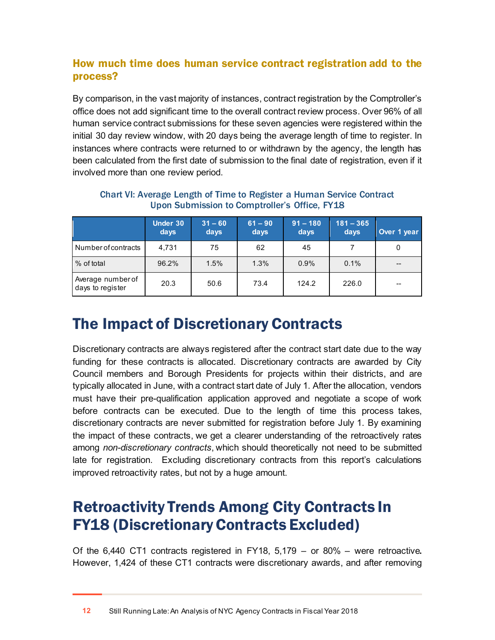### How much time does human service contract registration add to the process?

By comparison, in the vast majority of instances, contract registration by the Comptroller's office does not add significant time to the overall contract review process. Over 96% of all human service contract submissions for these seven agencies were registered within the initial 30 day review window, with 20 days being the average length of time to register. In instances where contracts were returned to or withdrawn by the agency, the length has been calculated from the first date of submission to the final date of registration, even if it involved more than one review period.

|                                       | <b>Under 30</b><br>days | $31 - 60$<br>days | $61 - 90$<br>days | $91 - 180$<br>days | $181 - 365$<br>days | Over 1 year |
|---------------------------------------|-------------------------|-------------------|-------------------|--------------------|---------------------|-------------|
| Number of contracts                   | 4,731                   | 75                | 62                | 45                 |                     | 0           |
| % of total                            | 96.2%                   | 1.5%              | 1.3%              | 0.9%               | 0.1%                |             |
| Average number of<br>days to register | 20.3                    | 50.6              | 73.4              | 124.2              | 226.0               | $- -$       |

#### Chart VI: Average Length of Time to Register a Human Service Contract Upon Submission to Comptroller's Office, FY18

# <span id="page-11-0"></span>The Impact of Discretionary Contracts

Discretionary contracts are always registered after the contract start date due to the way funding for these contracts is allocated. Discretionary contracts are awarded by City Council members and Borough Presidents for projects within their districts, and are typically allocated in June, with a contract start date of July 1. After the allocation, vendors must have their pre-qualification application approved and negotiate a scope of work before contracts can be executed. Due to the length of time this process takes, discretionary contracts are never submitted for registration before July 1. By examining the impact of these contracts, we get a clearer understanding of the retroactively rates among *non-discretionary contracts*, which should theoretically not need to be submitted late for registration. Excluding discretionary contracts from this report's calculations improved retroactivity rates, but not by a huge amount.

# <span id="page-11-1"></span>Retroactivity Trends Among City Contracts In FY18 (Discretionary Contracts Excluded)

Of the 6,440 CT1 contracts registered in FY18, 5,179 – or 80% – were retroactive**.**  However, 1,424 of these CT1 contracts were discretionary awards, and after removing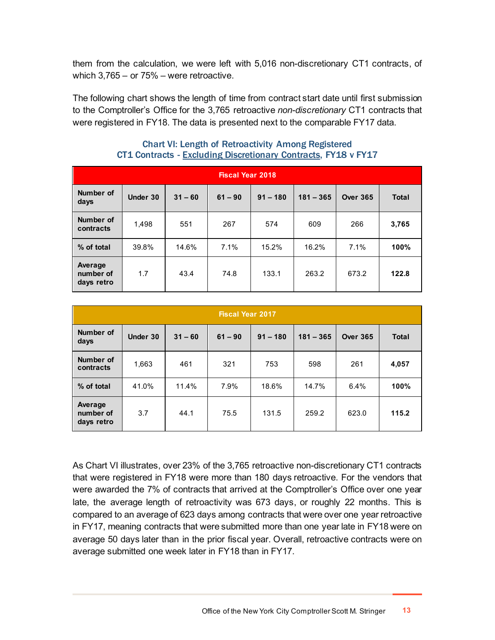them from the calculation, we were left with 5,016 non-discretionary CT1 contracts, of which 3,765 – or 75% – were retroactive.

The following chart shows the length of time from contract start date until first submission to the Comptroller's Office for the 3,765 retroactive *non-discretionary* CT1 contracts that were registered in FY18. The data is presented next to the comparable FY17 data.

| <b>Fiscal Year 2018</b>            |          |           |           |            |             |                 |              |  |  |  |
|------------------------------------|----------|-----------|-----------|------------|-------------|-----------------|--------------|--|--|--|
| Number of<br>days                  | Under 30 | $31 - 60$ | $61 - 90$ | $91 - 180$ | $181 - 365$ | <b>Over 365</b> | <b>Total</b> |  |  |  |
| Number of<br>contracts             | 1,498    | 551       | 267       | 574        | 609         | 266             | 3,765        |  |  |  |
| % of total                         | 39.8%    | 14.6%     | 7.1%      | 15.2%      | 16.2%       | 7.1%            | 100%         |  |  |  |
| Average<br>number of<br>days retro | 1.7      | 43.4      | 74.8      | 133.1      | 263.2       | 673.2           | 122.8        |  |  |  |

#### Chart VI: Length of Retroactivity Among Registered CT1 Contracts - Excluding Discretionary Contracts, FY18 v FY17

| <b>Fiscal Year 2017</b>            |          |           |           |            |             |                 |              |  |  |  |
|------------------------------------|----------|-----------|-----------|------------|-------------|-----------------|--------------|--|--|--|
| Number of<br>days                  | Under 30 | $31 - 60$ | $61 - 90$ | $91 - 180$ | $181 - 365$ | <b>Over 365</b> | <b>Total</b> |  |  |  |
| Number of<br>contracts             | 1,663    | 461       | 321       | 753        | 598         | 261             | 4,057        |  |  |  |
| % of total                         | 41.0%    | 11.4%     | 7.9%      | 18.6%      | 14.7%       | 6.4%            | 100%         |  |  |  |
| Average<br>number of<br>days retro | 3.7      | 44.1      | 75.5      | 131.5      | 259.2       | 623.0           | 115.2        |  |  |  |

As Chart VI illustrates, over 23% of the 3,765 retroactive non-discretionary CT1 contracts that were registered in FY18 were more than 180 days retroactive. For the vendors that were awarded the 7% of contracts that arrived at the Comptroller's Office over one year late, the average length of retroactivity was 673 days, or roughly 22 months. This is compared to an average of 623 days among contracts that were over one year retroactive in FY17, meaning contracts that were submitted more than one year late in FY18 were on average 50 days later than in the prior fiscal year. Overall, retroactive contracts were on average submitted one week later in FY18 than in FY17.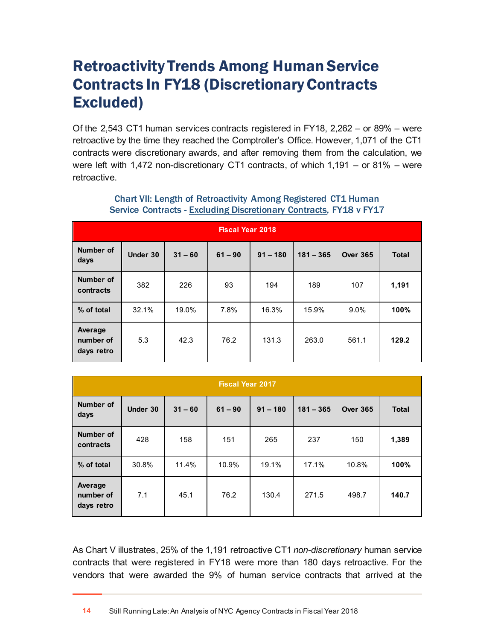# <span id="page-13-0"></span>Retroactivity Trends Among Human Service Contracts In FY18 (Discretionary Contracts Excluded)

Of the 2,543 CT1 human services contracts registered in FY18, 2,262 – or 89% – were retroactive by the time they reached the Comptroller's Office. However, 1,071 of the CT1 contracts were discretionary awards, and after removing them from the calculation, we were left with 1,472 non-discretionary CT1 contracts, of which 1,191 – or 81% – were retroactive.

| <b>Fiscal Year 2018</b>            |          |           |           |            |             |                 |              |  |  |  |
|------------------------------------|----------|-----------|-----------|------------|-------------|-----------------|--------------|--|--|--|
| Number of<br>days                  | Under 30 | $31 - 60$ | $61 - 90$ | $91 - 180$ | $181 - 365$ | <b>Over 365</b> | <b>Total</b> |  |  |  |
| Number of<br>contracts             | 382      | 226       | 93        | 194        | 189         | 107             | 1,191        |  |  |  |
| % of total                         | 32.1%    | 19.0%     | 7.8%      | 16.3%      | 15.9%       | $9.0\%$         | 100%         |  |  |  |
| Average<br>number of<br>days retro | 5.3      | 42.3      | 76.2      | 131.3      | 263.0       | 561.1           | 129.2        |  |  |  |

#### Chart VII: Length of Retroactivity Among Registered CT1 Human Service Contracts - Excluding Discretionary Contracts, FY18 v FY17

| <b>Fiscal Year 2017</b>            |          |           |           |            |             |                 |              |
|------------------------------------|----------|-----------|-----------|------------|-------------|-----------------|--------------|
| Number of<br>days                  | Under 30 | $31 - 60$ | $61 - 90$ | $91 - 180$ | $181 - 365$ | <b>Over 365</b> | <b>Total</b> |
| Number of<br>contracts             | 428      | 158       | 151       | 265        | 237         | 150             | 1,389        |
| % of total                         | 30.8%    | 11.4%     | 10.9%     | 19.1%      | 17.1%       | 10.8%           | 100%         |
| Average<br>number of<br>days retro | 7.1      | 45.1      | 76.2      | 130.4      | 271.5       | 498.7           | 140.7        |

As Chart V illustrates, 25% of the 1,191 retroactive CT1 *non-discretionary* human service contracts that were registered in FY18 were more than 180 days retroactive. For the vendors that were awarded the 9% of human service contracts that arrived at the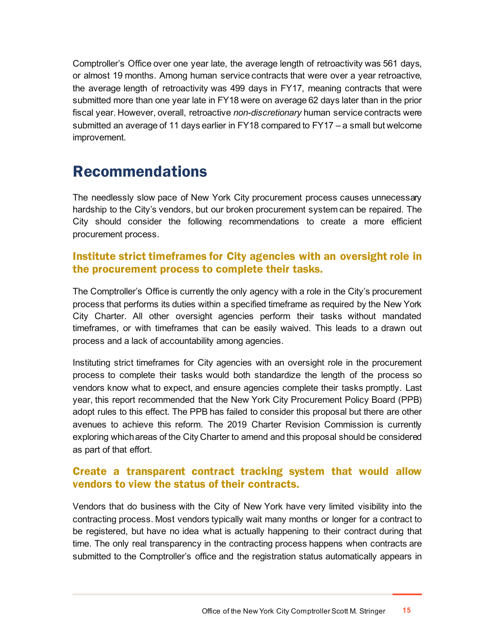Comptroller's Office over one year late, the average length of retroactivity was 561 days, or almost 19 months. Among human service contracts that were over a year retroactive, the average length of retroactivity was 499 days in FY17, meaning contracts that were submitted more than one year late in FY18 were on average 62 days later than in the prior fiscal year. However, overall, retroactive *non-discretionary* human service contracts were submitted an average of 11 days earlier in FY18 compared to FY17 – a small but welcome improvement.

### <span id="page-14-0"></span>Recommendations

The needlessly slow pace of New York City procurement process causes unnecessary hardship to the City's vendors, but our broken procurement system can be repaired. The City should consider the following recommendations to create a more efficient procurement process.

### Institute strict timeframes for City agencies with an oversight role in the procurement process to complete their tasks.

The Comptroller's Office is currently the only agency with a role in the City's procurement process that performs its duties within a specified timeframe as required by the New York City Charter. All other oversight agencies perform their tasks without mandated timeframes, or with timeframes that can be easily waived. This leads to a drawn out process and a lack of accountability among agencies.

Instituting strict timeframes for City agencies with an oversight role in the procurement process to complete their tasks would both standardize the length of the process so vendors know what to expect, and ensure agencies complete their tasks promptly. Last year, this report recommended that the New York City Procurement Policy Board (PPB) adopt rules to this effect. The PPB has failed to consider this proposal but there are other avenues to achieve this reform. The 2019 Charter Revision Commission is currently exploring which areas of the City Charter to amend and this proposal should be considered as part of that effort.

### Create a transparent contract tracking system that would allow vendors to view the status of their contracts.

Vendors that do business with the City of New York have very limited visibility into the contracting process. Most vendors typically wait many months or longer for a contract to be registered, but have no idea what is actually happening to their contract during that time. The only real transparency in the contracting process happens when contracts are submitted to the Comptroller's office and the registration status automatically appears in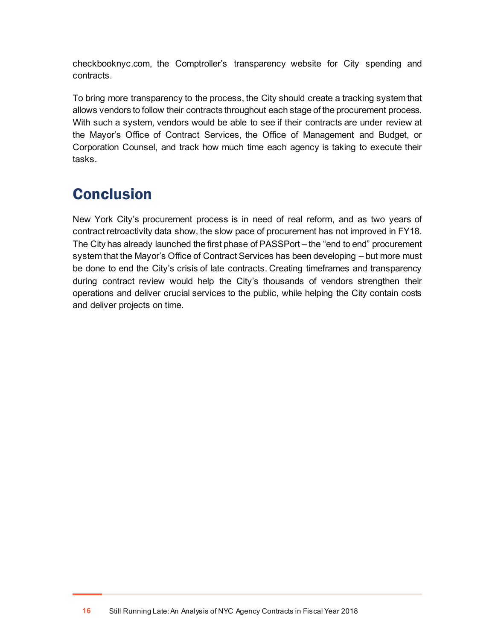checkbooknyc.com, the Comptroller's transparency website for City spending and contracts.

To bring more transparency to the process, the City should create a tracking system that allows vendors to follow their contracts throughout each stage of the procurement process. With such a system, vendors would be able to see if their contracts are under review at the Mayor's Office of Contract Services, the Office of Management and Budget, or Corporation Counsel, and track how much time each agency is taking to execute their tasks.

# <span id="page-15-0"></span>**Conclusion**

<span id="page-15-1"></span>New York City's procurement process is in need of real reform, and as two years of contract retroactivity data show, the slow pace of procurement has not improved in FY18. The City has already launched the first phase of PASSPort – the "end to end" procurement system that the Mayor's Office of Contract Services has been developing – but more must be done to end the City's crisis of late contracts. Creating timeframes and transparency during contract review would help the City's thousands of vendors strengthen their operations and deliver crucial services to the public, while helping the City contain costs and deliver projects on time.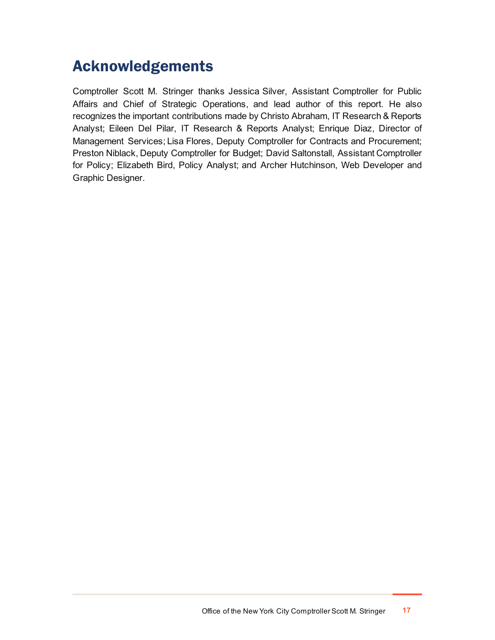# Acknowledgements

Comptroller Scott M. Stringer thanks Jessica Silver, Assistant Comptroller for Public Affairs and Chief of Strategic Operations, and lead author of this report. He also recognizes the important contributions made by Christo Abraham, IT Research & Reports Analyst; Eileen Del Pilar, IT Research & Reports Analyst; Enrique Diaz, Director of Management Services; Lisa Flores, Deputy Comptroller for Contracts and Procurement; Preston Niblack, Deputy Comptroller for Budget; David Saltonstall, Assistant Comptroller for Policy; Elizabeth Bird, Policy Analyst; and Archer Hutchinson, Web Developer and Graphic Designer.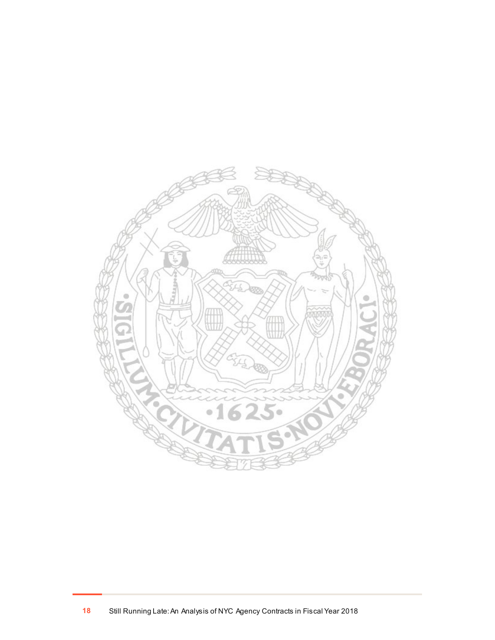